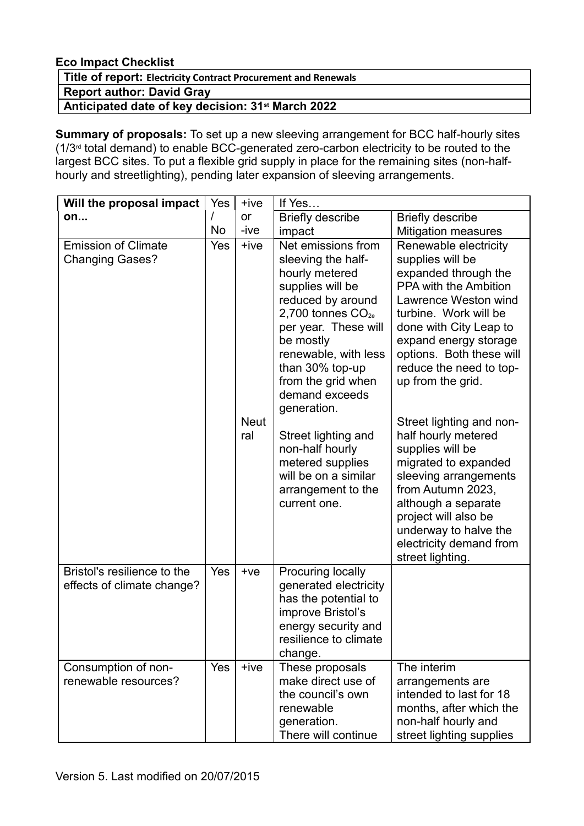## **Eco Impact Checklist**

#### **Title of report: Electricity Contract Procurement and Renewals**

**Report author: David Gray**

**Anticipated date of key decision: 31st March 2022**

**Summary of proposals:** To set up a new sleeving arrangement for BCC half-hourly sites (1/3rd total demand) to enable BCC-generated zero-carbon electricity to be routed to the largest BCC sites. To put a flexible grid supply in place for the remaining sites (non-halfhourly and streetlighting), pending later expansion of sleeving arrangements.

| Will the proposal impact                                  | Yes | $+ive$                       | If Yes                                                                                                                                                                                                                                                                                                                                                                                           |                                                                                                                                                                                                                                                                                                                                                                                                                                                                                                                                                |
|-----------------------------------------------------------|-----|------------------------------|--------------------------------------------------------------------------------------------------------------------------------------------------------------------------------------------------------------------------------------------------------------------------------------------------------------------------------------------------------------------------------------------------|------------------------------------------------------------------------------------------------------------------------------------------------------------------------------------------------------------------------------------------------------------------------------------------------------------------------------------------------------------------------------------------------------------------------------------------------------------------------------------------------------------------------------------------------|
| on                                                        |     | or                           | <b>Briefly describe</b>                                                                                                                                                                                                                                                                                                                                                                          | <b>Briefly describe</b>                                                                                                                                                                                                                                                                                                                                                                                                                                                                                                                        |
|                                                           | No  | -ive                         | impact                                                                                                                                                                                                                                                                                                                                                                                           | <b>Mitigation measures</b>                                                                                                                                                                                                                                                                                                                                                                                                                                                                                                                     |
| <b>Emission of Climate</b><br><b>Changing Gases?</b>      | Yes | $+ive$<br><b>Neut</b><br>ral | Net emissions from<br>sleeving the half-<br>hourly metered<br>supplies will be<br>reduced by around<br>2,700 tonnes $CO_{2e}$<br>per year. These will<br>be mostly<br>renewable, with less<br>than 30% top-up<br>from the grid when<br>demand exceeds<br>generation.<br>Street lighting and<br>non-half hourly<br>metered supplies<br>will be on a similar<br>arrangement to the<br>current one. | Renewable electricity<br>supplies will be<br>expanded through the<br>PPA with the Ambition<br>Lawrence Weston wind<br>turbine. Work will be<br>done with City Leap to<br>expand energy storage<br>options. Both these will<br>reduce the need to top-<br>up from the grid.<br>Street lighting and non-<br>half hourly metered<br>supplies will be<br>migrated to expanded<br>sleeving arrangements<br>from Autumn 2023,<br>although a separate<br>project will also be<br>underway to halve the<br>electricity demand from<br>street lighting. |
| Bristol's resilience to the<br>effects of climate change? | Yes | $+ve$                        | Procuring locally<br>generated electricity<br>has the potential to<br>improve Bristol's<br>energy security and<br>resilience to climate<br>change.                                                                                                                                                                                                                                               |                                                                                                                                                                                                                                                                                                                                                                                                                                                                                                                                                |
| Consumption of non-<br>renewable resources?               | Yes | $+ive$                       | These proposals<br>make direct use of<br>the council's own<br>renewable<br>generation.<br>There will continue                                                                                                                                                                                                                                                                                    | The interim<br>arrangements are<br>intended to last for 18<br>months, after which the<br>non-half hourly and<br>street lighting supplies                                                                                                                                                                                                                                                                                                                                                                                                       |